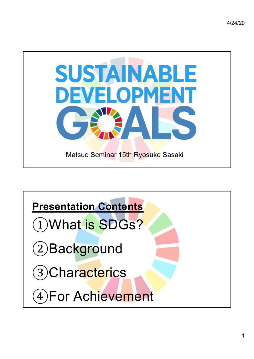

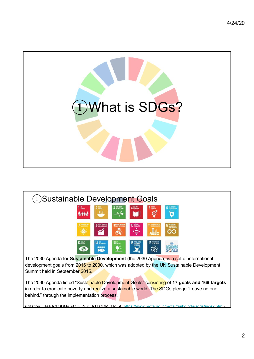

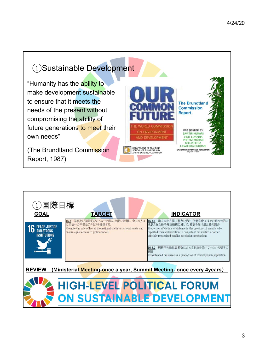## ①Sustainable Development

"Humanity has the ability to make development sustainable to ensure that it meets the needs of the present without compromising the ability of future generations to meet their own needs"

(The Brundtland Commission Report, 1987)



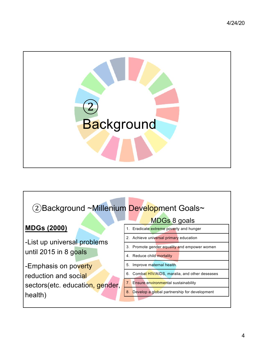

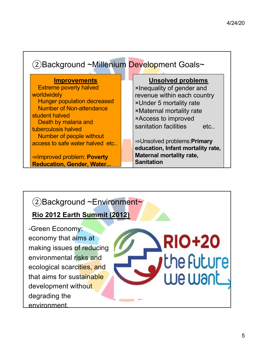| 2) Background ~Millenium Development Goals~                                                                                                                                                                                               |                                                                                                                                                                                                                          |  |  |
|-------------------------------------------------------------------------------------------------------------------------------------------------------------------------------------------------------------------------------------------|--------------------------------------------------------------------------------------------------------------------------------------------------------------------------------------------------------------------------|--|--|
| <b>Improvements</b><br><b>Extreme poverty halved</b><br>worldwidely<br><b>Hunger population decreased</b><br><b>Number of Non-attendance</b><br>student halved<br>Death by malaria and<br>tuberculosis halved<br>Number of people without | <b>Unsolved problems</b><br>xinequality of gender and<br>revenue within each country<br><b>×Under 5 mortality rate</b><br><b>×Maternal mortality rate</b><br><b>×Access to improved</b><br>sanitation facilities<br>etc. |  |  |
| access to safe water halved etc<br>$\Rightarrow$ Improved problem: Poverty<br><b>Reducation, Gender, Water</b>                                                                                                                            | $\Rightarrow$ Unsolved problems: <b>Primary</b><br>education, Infant mortality rate,<br><b>Maternal mortality rate,</b><br><b>Sanitation</b>                                                                             |  |  |

## ②Background ~Environment~

**Rio 2012 Earth Summit (2012)**

-Green Economy: economy that aims at making issues of reducing environmental risks and ecological scarcities, and that aims for sustainable development without degrading the environment.

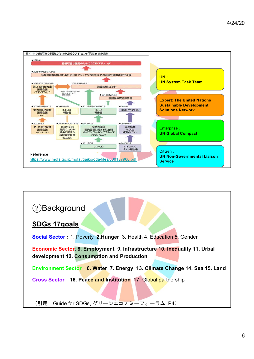

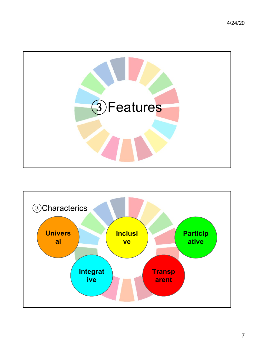

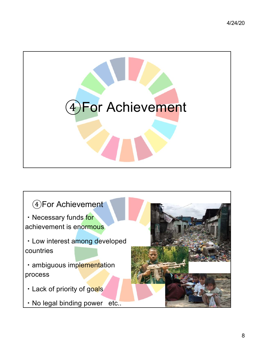

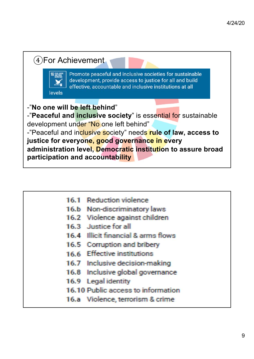

| 16.1 Reduction violence             |
|-------------------------------------|
| 16.b Non-discriminatory laws        |
| 16.2 Violence against children      |
| 16.3 Justice for all                |
| 16.4 Illicit financial & arms flows |
| 16.5 Corruption and bribery         |
| 16.6 Effective institutions         |
| 16.7 Inclusive decision-making      |
| 16.8 Inclusive global governance    |
| 16.9 Legal identity                 |
| 16.10 Public access to information  |
| 16.a Violence, terrorism & crime    |
|                                     |